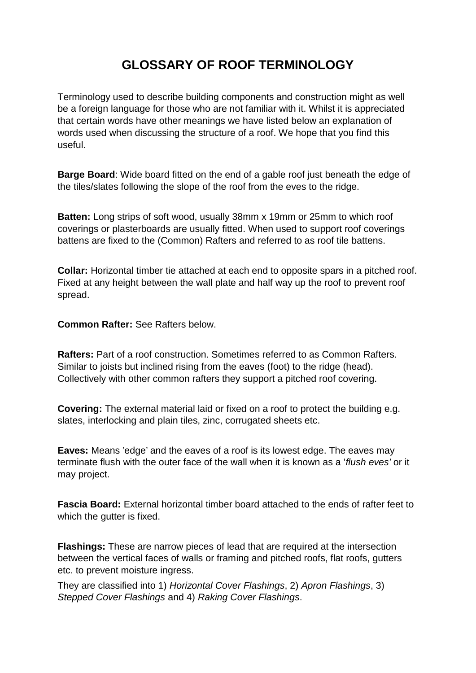## **GLOSSARY OF ROOF TERMINOLOGY**

Terminology used to describe building components and construction might as well be a foreign language for those who are not familiar with it. Whilst it is appreciated that certain words have other meanings we have listed below an explanation of words used when discussing the structure of a roof. We hope that you find this useful.

**Barge Board**: Wide board fitted on the end of a gable roof just beneath the edge of the tiles/slates following the slope of the roof from the eves to the ridge.

**Batten:** Long strips of soft wood, usually 38mm x 19mm or 25mm to which roof coverings or plasterboards are usually fitted. When used to support roof coverings battens are fixed to the (Common) Rafters and referred to as roof tile battens.

**Collar:** Horizontal timber tie attached at each end to opposite spars in a pitched roof. Fixed at any height between the wall plate and half way up the roof to prevent roof spread.

**Common Rafter:** See Rafters below.

**Rafters:** Part of a roof construction. Sometimes referred to as Common Rafters. Similar to joists but inclined rising from the eaves (foot) to the ridge (head). Collectively with other common rafters they support a pitched roof covering.

**Covering:** The external material laid or fixed on a roof to protect the building e.g. slates, interlocking and plain tiles, zinc, corrugated sheets etc.

**Eaves:** Means 'edge' and the eaves of a roof is its lowest edge. The eaves may terminate flush with the outer face of the wall when it is known as a '*flush eves'* or it may project.

**Fascia Board:** External horizontal timber board attached to the ends of rafter feet to which the gutter is fixed.

**Flashings:** These are narrow pieces of lead that are required at the intersection between the vertical faces of walls or framing and pitched roofs, flat roofs, gutters etc. to prevent moisture ingress.

They are classified into 1) *Horizontal Cover Flashings*, 2) *Apron Flashings*, 3) *Stepped Cover Flashings* and 4) *Raking Cover Flashings*.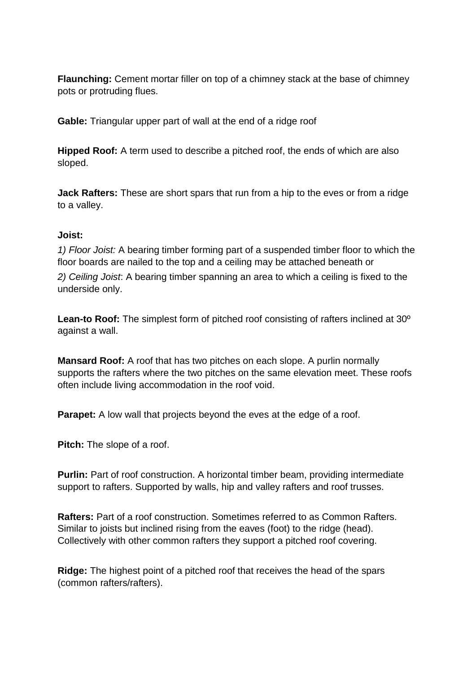**Flaunching:** Cement mortar filler on top of a chimney stack at the base of chimney pots or protruding flues.

**Gable:** Triangular upper part of wall at the end of a ridge roof

**Hipped Roof:** A term used to describe a pitched roof, the ends of which are also sloped.

**Jack Rafters:** These are short spars that run from a hip to the eves or from a ridge to a valley.

## **Joist:**

*1) Floor Joist:* A bearing timber forming part of a suspended timber floor to which the floor boards are nailed to the top and a ceiling may be attached beneath or

*2) Ceiling Joist*: A bearing timber spanning an area to which a ceiling is fixed to the underside only.

**Lean-to Roof:** The simplest form of pitched roof consisting of rafters inclined at 30º against a wall.

**Mansard Roof:** A roof that has two pitches on each slope. A purlin normally supports the rafters where the two pitches on the same elevation meet. These roofs often include living accommodation in the roof void.

**Parapet:** A low wall that projects beyond the eves at the edge of a roof.

**Pitch:** The slope of a roof.

**Purlin:** Part of roof construction. A horizontal timber beam, providing intermediate support to rafters. Supported by walls, hip and valley rafters and roof trusses.

**Rafters:** Part of a roof construction. Sometimes referred to as Common Rafters. Similar to joists but inclined rising from the eaves (foot) to the ridge (head). Collectively with other common rafters they support a pitched roof covering.

**Ridge:** The highest point of a pitched roof that receives the head of the spars (common rafters/rafters).